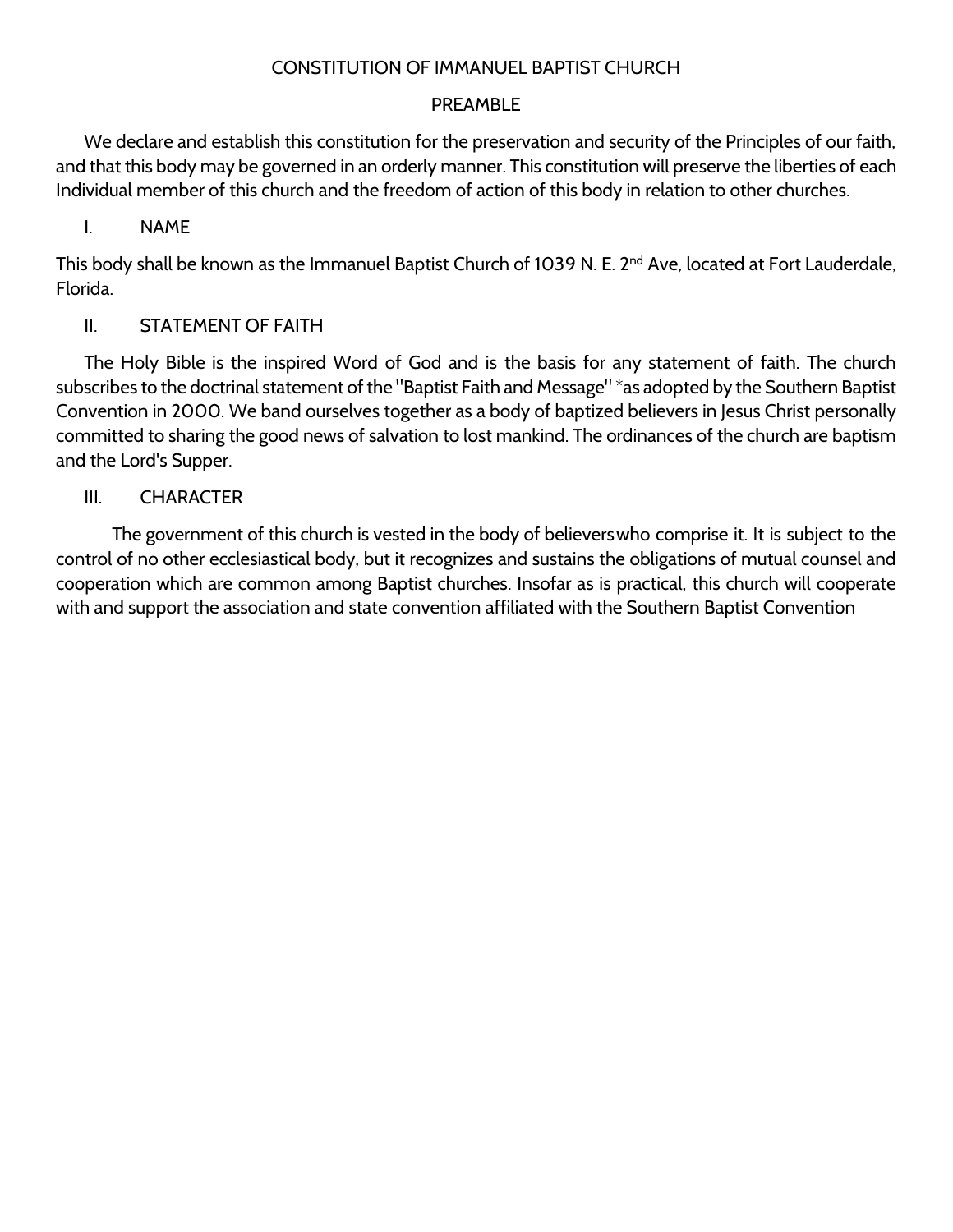# CONSTITUTION OF IMMANUEL BAPTIST CHURCH

### PREAMBLE

We declare and establish this constitution for the preservation and security of the Principles of our faith, and that this body may be governed in an orderly manner. This constitution will preserve the liberties of each Individual member of this church and the freedom of action of this body in relation to other churches.

## I. NAME

This body shall be known as the Immanuel Baptist Church of 1039 N. E. 2<sup>nd</sup> Ave, located at Fort Lauderdale, Florida.

## II. STATEMENT OF FAITH

The Holy Bible is the inspired Word of God and is the basis for any statement of faith. The church subscribes to the doctrinal statement of the "Baptist Faith and Message" \*as adopted by the Southern Baptist Convention in 2000. We band ourselves together as a body of baptized believers in Jesus Christ personally committed to sharing the good news of salvation to lost mankind. The ordinances of the church are baptism and the Lord's Supper.

#### III. CHARACTER

The government of this church is vested in the body of believerswho comprise it. It is subject to the control of no other ecclesiastical body, but it recognizes and sustains the obligations of mutual counsel and cooperation which are common among Baptist churches. Insofar as is practical, this church will cooperate with and support the association and state convention affiliated with the Southern Baptist Convention